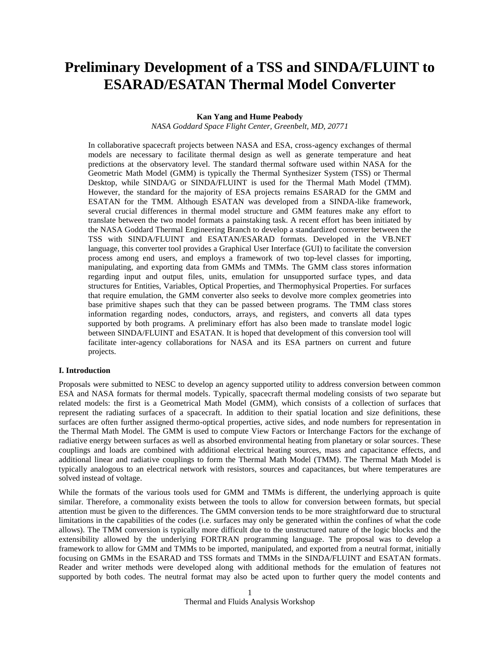# **Preliminary Development of a TSS and SINDA/FLUINT to ESARAD/ESATAN Thermal Model Converter**

# **Kan Yang and Hume Peabody**

*NASA Goddard Space Flight Center, Greenbelt, MD, 20771*

In collaborative spacecraft projects between NASA and ESA, cross-agency exchanges of thermal models are necessary to facilitate thermal design as well as generate temperature and heat predictions at the observatory level. The standard thermal software used within NASA for the Geometric Math Model (GMM) is typically the Thermal Synthesizer System (TSS) or Thermal Desktop, while SINDA/G or SINDA/FLUINT is used for the Thermal Math Model (TMM). However, the standard for the majority of ESA projects remains ESARAD for the GMM and ESATAN for the TMM. Although ESATAN was developed from a SINDA-like framework, several crucial differences in thermal model structure and GMM features make any effort to translate between the two model formats a painstaking task. A recent effort has been initiated by the NASA Goddard Thermal Engineering Branch to develop a standardized converter between the TSS with SINDA/FLUINT and ESATAN/ESARAD formats. Developed in the VB.NET language, this converter tool provides a Graphical User Interface (GUI) to facilitate the conversion process among end users, and employs a framework of two top-level classes for importing, manipulating, and exporting data from GMMs and TMMs. The GMM class stores information regarding input and output files, units, emulation for unsupported surface types, and data structures for Entities, Variables, Optical Properties, and Thermophysical Properties. For surfaces that require emulation, the GMM converter also seeks to devolve more complex geometries into base primitive shapes such that they can be passed between programs. The TMM class stores information regarding nodes, conductors, arrays, and registers, and converts all data types supported by both programs. A preliminary effort has also been made to translate model logic between SINDA/FLUINT and ESATAN. It is hoped that development of this conversion tool will facilitate inter-agency collaborations for NASA and its ESA partners on current and future projects.

#### **I. Introduction**

Proposals were submitted to NESC to develop an agency supported utility to address conversion between common ESA and NASA formats for thermal models. Typically, spacecraft thermal modeling consists of two separate but related models: the first is a Geometrical Math Model (GMM), which consists of a collection of surfaces that represent the radiating surfaces of a spacecraft. In addition to their spatial location and size definitions, these surfaces are often further assigned thermo-optical properties, active sides, and node numbers for representation in the Thermal Math Model. The GMM is used to compute View Factors or Interchange Factors for the exchange of radiative energy between surfaces as well as absorbed environmental heating from planetary or solar sources. These couplings and loads are combined with additional electrical heating sources, mass and capacitance effects, and additional linear and radiative couplings to form the Thermal Math Model (TMM). The Thermal Math Model is typically analogous to an electrical network with resistors, sources and capacitances, but where temperatures are solved instead of voltage.

While the formats of the various tools used for GMM and TMMs is different, the underlying approach is quite similar. Therefore, a commonality exists between the tools to allow for conversion between formats, but special attention must be given to the differences. The GMM conversion tends to be more straightforward due to structural limitations in the capabilities of the codes (i.e. surfaces may only be generated within the confines of what the code allows). The TMM conversion is typically more difficult due to the unstructured nature of the logic blocks and the extensibility allowed by the underlying FORTRAN programming language. The proposal was to develop a framework to allow for GMM and TMMs to be imported, manipulated, and exported from a neutral format, initially focusing on GMMs in the ESARAD and TSS formats and TMMs in the SINDA/FLUINT and ESATAN formats. Reader and writer methods were developed along with additional methods for the emulation of features not supported by both codes. The neutral format may also be acted upon to further query the model contents and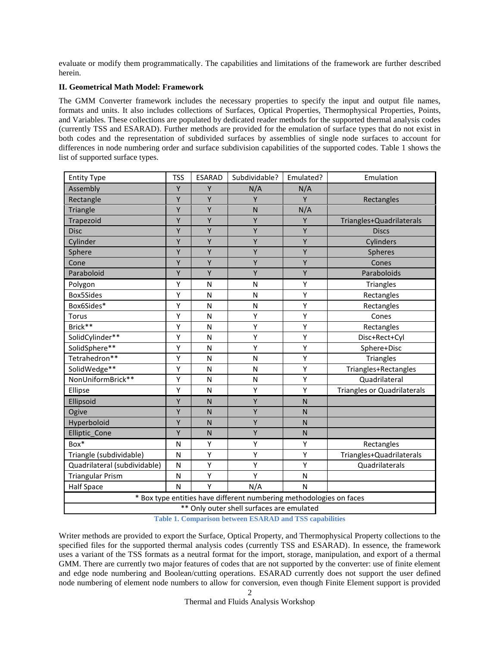evaluate or modify them programmatically. The capabilities and limitations of the framework are further described herein.

# **II. Geometrical Math Model: Framework**

The GMM Converter framework includes the necessary properties to specify the input and output file names, formats and units. It also includes collections of Surfaces, Optical Properties, Thermophysical Properties, Points, and Variables. These collections are populated by dedicated reader methods for the supported thermal analysis codes (currently TSS and ESARAD). Further methods are provided for the emulation of surface types that do not exist in both codes and the representation of subdivided surfaces by assemblies of single node surfaces to account for differences in node numbering order and surface subdivision capabilities of the supported codes. [Table 1](#page-1-0) shows the list of supported surface types.

| <b>Entity Type</b>                                                  | <b>TSS</b>                                | <b>ESARAD</b> | Subdividable? | Emulated?    | Emulation                          |  |  |
|---------------------------------------------------------------------|-------------------------------------------|---------------|---------------|--------------|------------------------------------|--|--|
| Assembly                                                            | Υ                                         | Y             | N/A           | N/A          |                                    |  |  |
| Rectangle                                                           | Υ                                         | Υ             | Y             | Y            | Rectangles                         |  |  |
| <b>Triangle</b>                                                     | Υ                                         | Υ             | $\mathsf{N}$  | N/A          |                                    |  |  |
| Trapezoid                                                           | Υ                                         | Υ             | Υ             | Y            | Triangles+Quadrilaterals           |  |  |
| <b>Disc</b>                                                         | Υ                                         | Υ             | Y             | Y            | <b>Discs</b>                       |  |  |
| Cylinder                                                            | Y                                         | Υ             | Υ             | Υ            | Cylinders                          |  |  |
| Sphere                                                              | Y                                         | Y             | Y             | Y            | Spheres                            |  |  |
| Cone                                                                | Υ                                         | Υ             | Y             | Υ            | Cones                              |  |  |
| Paraboloid                                                          | Υ                                         | Υ             | Υ             | Υ            | Paraboloids                        |  |  |
| Polygon                                                             | Υ                                         | N             | N             | Υ            | <b>Triangles</b>                   |  |  |
| Box5Sides                                                           | Υ                                         | N             | $\mathsf{N}$  | Υ            | Rectangles                         |  |  |
| Box6Sides*                                                          | Υ                                         | N             | N             | Υ            | Rectangles                         |  |  |
| Torus                                                               | Υ                                         | N             | Υ             | Υ            | Cones                              |  |  |
| Brick**                                                             | Υ                                         | N             | Υ             | Υ            | Rectangles                         |  |  |
| SolidCylinder**                                                     | Υ                                         | N             | Υ             | Υ            | Disc+Rect+Cyl                      |  |  |
| SolidSphere**                                                       | Υ                                         | N             | Υ             | Υ            | Sphere+Disc                        |  |  |
| Tetrahedron**                                                       | Υ                                         | N             | N             | Υ            | <b>Triangles</b>                   |  |  |
| SolidWedge**                                                        | Υ                                         | N             | N             | Υ            | Triangles+Rectangles               |  |  |
| NonUniformBrick**                                                   | Υ                                         | N             | N             | Υ            | Quadrilateral                      |  |  |
| Ellipse                                                             | Υ                                         | N             | Υ             | Υ            | <b>Triangles or Quadrilaterals</b> |  |  |
| Ellipsoid                                                           | Υ                                         | N             | Y             | $\mathsf{N}$ |                                    |  |  |
| Ogive                                                               | Υ                                         | N             | Y             | $\mathsf{N}$ |                                    |  |  |
| Hyperboloid                                                         | Υ                                         | N             | Υ             | N            |                                    |  |  |
| Elliptic_Cone                                                       | Y                                         | N             | Y             | N            |                                    |  |  |
| Box*                                                                | N                                         | Υ             | Υ             | Υ            | Rectangles                         |  |  |
| Triangle (subdividable)                                             | N                                         | Υ             | Υ             | Υ            | Triangles+Quadrilaterals           |  |  |
| Quadrilateral (subdividable)                                        | N                                         | Υ             | Υ             | Υ            | Quadrilaterals                     |  |  |
| <b>Triangular Prism</b>                                             | N                                         | Υ             | Υ             | N            |                                    |  |  |
| <b>Half Space</b>                                                   | N                                         | Y             | N/A           | N            |                                    |  |  |
| * Box type entities have different numbering methodologies on faces |                                           |               |               |              |                                    |  |  |
|                                                                     | ** Only outer shell surfaces are emulated |               |               |              |                                    |  |  |

**Table 1. Comparison between ESARAD and TSS capabilities**

<span id="page-1-0"></span>Writer methods are provided to export the Surface, Optical Property, and Thermophysical Property collections to the specified files for the supported thermal analysis codes (currently TSS and ESARAD). In essence, the framework uses a variant of the TSS formats as a neutral format for the import, storage, manipulation, and export of a thermal GMM. There are currently two major features of codes that are not supported by the converter: use of finite element and edge node numbering and Boolean/cutting operations. ESARAD currently does not support the user defined node numbering of element node numbers to allow for conversion, even though Finite Element support is provided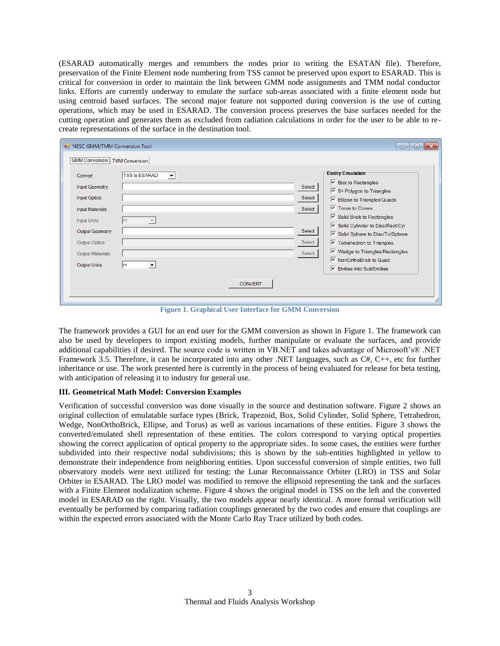(ESARAD automatically merges and renumbers the nodes prior to writing the ESATAN file). Therefore, preservation of the Finite Element node numbering from TSS cannot be preserved upon export to ESARAD. This is critical for conversion in order to maintain the link between GMM node assignments and TMM nodal conductor links. Efforts are currently underway to emulate the surface sub-areas associated with a finite element node but using centroid based surfaces. The second major feature not supported during conversion is the use of cutting operations, which may be used in ESARAD. The conversion process preserves the base surfaces needed for the cutting operation and generates them as excluded from radiation calculations in order for the user to be able to recreate representations of the surface in the destination tool.

| <b>D</b> NESC GMM/TMM Conversion Tool                                                                                                                                         |                                                    |                | $\mathbf{x}$<br>$\Box$<br>$\Box$                                                                                                                                                                                                                                                                                                                                                                                                                                                          |
|-------------------------------------------------------------------------------------------------------------------------------------------------------------------------------|----------------------------------------------------|----------------|-------------------------------------------------------------------------------------------------------------------------------------------------------------------------------------------------------------------------------------------------------------------------------------------------------------------------------------------------------------------------------------------------------------------------------------------------------------------------------------------|
| GMM Conversion   TMM Conversion                                                                                                                                               |                                                    |                |                                                                                                                                                                                                                                                                                                                                                                                                                                                                                           |
| Convert<br><b>Input Geometry</b><br><b>Input Optics</b><br><b>Input Materials</b><br><b>Input Units</b><br>Output Geometry<br><b>Output Optics</b><br><b>Output Materials</b> | <b>TSS to ESARAD</b><br>$\blacktriangledown$<br>Im |                | <b>Entity Emulation</b><br>$\overline{\triangledown}$ Box to Rectangles<br>Select<br>$\sqrt{9}$ 5+ Polygon to Triangles<br>Select<br>$\boxed{\checkmark}$ Ellipse to Triangles/Quads<br>$\overline{\mathsf{v}}$ Torus to Cones<br>Select<br>$\triangleright$ Solid Brick to Rectangles<br>Solid Cylinder to Disc/Rect/Cyl<br>Select<br>√ Solid Sphere to Disc/Tri/Sphere<br>Select<br>$\triangledown$ Tetrahedron to Triangles<br>$\triangledown$ Wedge to Triangles/Rectangles<br>Select |
| Output Units                                                                                                                                                                  | m<br>▼                                             | <b>CONVERT</b> | V NonOrthoBrick to Quad<br><b>▼</b> Enities into SubEntities<br>M                                                                                                                                                                                                                                                                                                                                                                                                                         |

**Figure 1. Graphical User Interface for GMM Conversion**

<span id="page-2-0"></span>The framework provides a GUI for an end user for the GMM conversion as shown in [Figure 1.](#page-2-0) The framework can also be used by developers to import existing models, further manipulate or evaluate the surfaces, and provide additional capabilities if desired. The source code is written in VB.NET and takes advantage of Microsoft's® .NET Framework 3.5. Therefore, it can be incorporated into any other .NET languages, such as C#, C++, etc for further inheritance or use. The work presented here is currently in the process of being evaluated for release for beta testing, with anticipation of releasing it to industry for general use.

# **III. Geometrical Math Model: Conversion Examples**

Verification of successful conversion was done visually in the source and destination software. [Figure 2](#page-3-0) shows an original collection of emulatable surface types (Brick, Trapezoid, Box, Solid Cylinder, Solid Sphere, Tetrahedron, Wedge, NonOrthoBrick, Ellipse, and Torus) as well as various incarnations of these entities. [Figure 3](#page-3-1) shows the converted/emulated shell representation of these entities. The colors correspond to varying optical properties showing the correct application of optical property to the appropriate sides. In some cases, the entities were further subdivided into their respective nodal subdivisions; this is shown by the sub-entities highlighted in yellow to demonstrate their independence from neighboring entities. Upon successful conversion of simple entities, two full observatory models were next utilized for testing: the Lunar Reconnaissance Orbiter (LRO) in TSS and Solar Orbiter in ESARAD. The LRO model was modified to remove the ellipsoid representing the tank and the surfaces with a Finite Element nodalization scheme. [Figure 4](#page-3-2) shows the original model in TSS on the left and the converted model in ESARAD on the right. Visually, the two models appear nearly identical. A more formal verification will eventually be performed by comparing radiation couplings generated by the two codes and ensure that couplings are within the expected errors associated with the Monte Carlo Ray Trace utilized by both codes.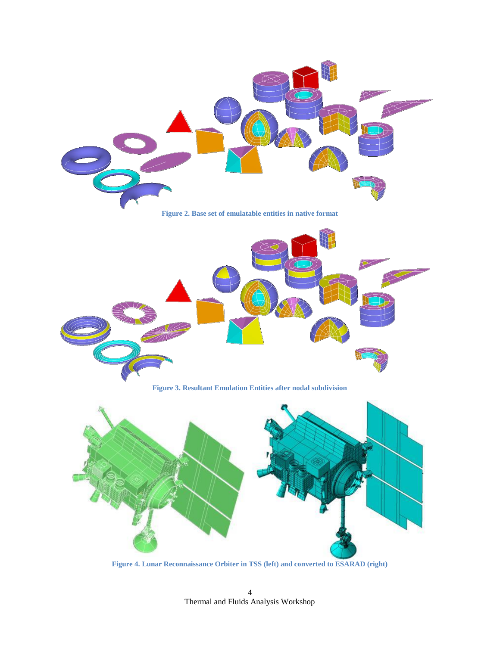<span id="page-3-0"></span>

**Figure 4. Lunar Reconnaissance Orbiter in TSS (left) and converted to ESARAD (right)**

<span id="page-3-2"></span><span id="page-3-1"></span>Thermal and Fluids Analysis Workshop 4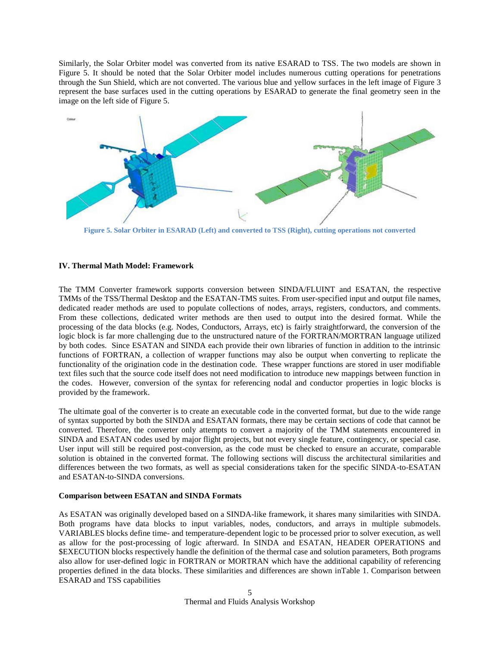Similarly, the Solar Orbiter model was converted from its native ESARAD to TSS. The two models are shown in [Figure 5.](#page-4-0) It should be noted that the Solar Orbiter model includes numerous cutting operations for penetrations through the Sun Shield, which are not converted. The various blue and yellow surfaces in the left image of [Figure 3](#page-3-1) represent the base surfaces used in the cutting operations by ESARAD to generate the final geometry seen in the image on the left side of [Figure 5.](#page-4-0)



<span id="page-4-0"></span>**Figure 5. Solar Orbiter in ESARAD (Left) and converted to TSS (Right), cutting operations not converted**

### **IV. Thermal Math Model: Framework**

The TMM Converter framework supports conversion between SINDA/FLUINT and ESATAN, the respective TMMs of the TSS/Thermal Desktop and the ESATAN-TMS suites. From user-specified input and output file names, dedicated reader methods are used to populate collections of nodes, arrays, registers, conductors, and comments. From these collections, dedicated writer methods are then used to output into the desired format. While the processing of the data blocks (e.g. Nodes, Conductors, Arrays, etc) is fairly straightforward, the conversion of the logic block is far more challenging due to the unstructured nature of the FORTRAN/MORTRAN language utilized by both codes. Since ESATAN and SINDA each provide their own libraries of function in addition to the intrinsic functions of FORTRAN, a collection of wrapper functions may also be output when converting to replicate the functionality of the origination code in the destination code. These wrapper functions are stored in user modifiable text files such that the source code itself does not need modification to introduce new mappings between function in the codes. However, conversion of the syntax for referencing nodal and conductor properties in logic blocks is provided by the framework.

The ultimate goal of the converter is to create an executable code in the converted format, but due to the wide range of syntax supported by both the SINDA and ESATAN formats, there may be certain sections of code that cannot be converted. Therefore, the converter only attempts to convert a majority of the TMM statements encountered in SINDA and ESATAN codes used by major flight projects, but not every single feature, contingency, or special case. User input will still be required post-conversion, as the code must be checked to ensure an accurate, comparable solution is obtained in the converted format. The following sections will discuss the architectural similarities and differences between the two formats, as well as special considerations taken for the specific SINDA-to-ESATAN and ESATAN-to-SINDA conversions.

#### **Comparison between ESATAN and SINDA Formats**

As ESATAN was originally developed based on a SINDA-like framework, it shares many similarities with SINDA. Both programs have data blocks to input variables, nodes, conductors, and arrays in multiple submodels. VARIABLES blocks define time- and temperature-dependent logic to be processed prior to solver execution, as well as allow for the post-processing of logic afterward. In SINDA and ESATAN, HEADER OPERATIONS and \$EXECUTION blocks respectively handle the definition of the thermal case and solution parameters, Both programs also allow for user-defined logic in FORTRAN or MORTRAN which have the additional capability of referencing properties defined in the data blocks. These similarities and differences are shown i[nTable 1. Comparison between](#page-1-0)  [ESARAD and TSS capabilities](#page-1-0)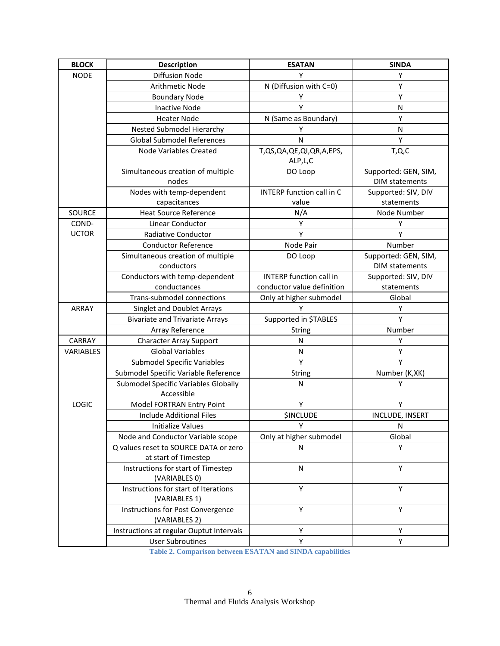| <b>BLOCK</b>     | <b>Description</b>                                    | <b>ESATAN</b>                        | <b>SINDA</b>                                  |
|------------------|-------------------------------------------------------|--------------------------------------|-----------------------------------------------|
| <b>NODE</b>      | <b>Diffusion Node</b>                                 | Y                                    | Υ                                             |
|                  | Arithmetic Node                                       | N (Diffusion with C=0)               | Υ                                             |
|                  | <b>Boundary Node</b>                                  | Υ                                    | Υ                                             |
|                  | <b>Inactive Node</b>                                  | Υ                                    | N                                             |
|                  | <b>Heater Node</b>                                    | N (Same as Boundary)                 | Υ                                             |
|                  | Nested Submodel Hierarchy                             | Y                                    | N                                             |
|                  | <b>Global Submodel References</b>                     | $\mathsf{N}$                         | Υ                                             |
|                  | <b>Node Variables Created</b>                         | T,QS,QA,QE,QI,QR,A,EPS,<br>ALP, L, C | T,Q,C                                         |
|                  | Simultaneous creation of multiple<br>nodes            | DO Loop                              | Supported: GEN, SIM,<br><b>DIM statements</b> |
|                  | Nodes with temp-dependent                             | <b>INTERP function call in C</b>     | Supported: SIV, DIV                           |
|                  | capacitances                                          | value                                | statements                                    |
| <b>SOURCE</b>    | <b>Heat Source Reference</b>                          | N/A                                  | Node Number                                   |
| COND-            | Linear Conductor                                      | Υ                                    | Υ                                             |
| <b>UCTOR</b>     | Radiative Conductor                                   | Υ                                    | Υ                                             |
|                  | <b>Conductor Reference</b>                            | Node Pair                            | Number                                        |
|                  | Simultaneous creation of multiple                     | DO Loop                              | Supported: GEN, SIM,                          |
|                  | conductors                                            |                                      | <b>DIM statements</b>                         |
|                  | Conductors with temp-dependent                        | <b>INTERP</b> function call in       | Supported: SIV, DIV                           |
|                  | conductances                                          | conductor value definition           | statements                                    |
|                  | Trans-submodel connections                            | Only at higher submodel              | Global                                        |
| ARRAY            | Singlet and Doublet Arrays                            | Υ                                    | Y                                             |
|                  | <b>Bivariate and Trivariate Arrays</b>                | Supported in \$TABLES                | Y                                             |
|                  | Array Reference                                       | String                               | Number                                        |
| <b>CARRAY</b>    | <b>Character Array Support</b>                        | N                                    | Υ                                             |
| <b>VARIABLES</b> | <b>Global Variables</b>                               | N                                    | Υ                                             |
|                  | <b>Submodel Specific Variables</b>                    | Y                                    | Υ                                             |
|                  | Submodel Specific Variable Reference                  | String                               | Number (K,XK)                                 |
|                  | Submodel Specific Variables Globally<br>Accessible    | N                                    | Υ                                             |
| <b>LOGIC</b>     | Model FORTRAN Entry Point                             | Υ                                    | Υ                                             |
|                  | <b>Include Additional Files</b>                       | <b>\$INCLUDE</b>                     | INCLUDE, INSERT                               |
|                  | <b>Initialize Values</b>                              | Υ                                    | N                                             |
|                  | Node and Conductor Variable scope                     | Only at higher submodel              | Global                                        |
|                  | Q values reset to SOURCE DATA or zero                 | N                                    | Y                                             |
|                  | at start of Timestep                                  |                                      |                                               |
|                  | Instructions for start of Timestep<br>(VARIABLES 0)   | $\mathsf{N}$                         | Υ                                             |
|                  | Instructions for start of Iterations<br>(VARIABLES 1) | Υ                                    | Υ                                             |
|                  | Instructions for Post Convergence<br>(VARIABLES 2)    | Y                                    | Y                                             |
|                  | Instructions at regular Ouptut Intervals              | Υ                                    | Y                                             |
|                  | <b>User Subroutines</b>                               | Υ                                    | Υ                                             |

<span id="page-5-0"></span>**Table 2. Comparison between ESATAN and SINDA capabilities**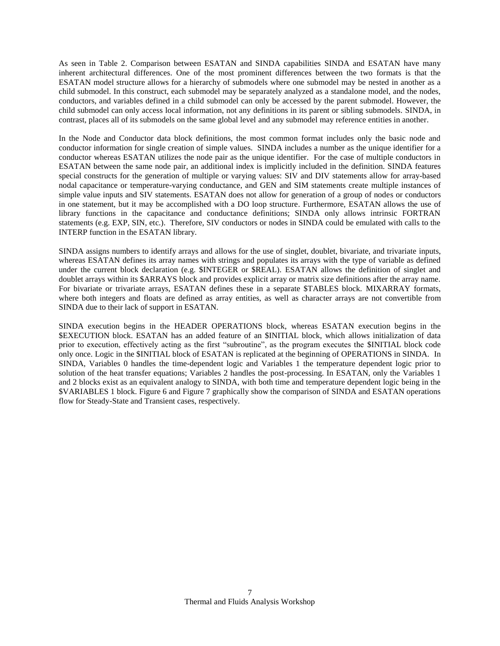As seen in [Table 2. Comparison between ESATAN and SINDA capabilities](#page-5-0) SINDA and ESATAN have many inherent architectural differences. One of the most prominent differences between the two formats is that the ESATAN model structure allows for a hierarchy of submodels where one submodel may be nested in another as a child submodel. In this construct, each submodel may be separately analyzed as a standalone model, and the nodes, conductors, and variables defined in a child submodel can only be accessed by the parent submodel. However, the child submodel can only access local information, not any definitions in its parent or sibling submodels. SINDA, in contrast, places all of its submodels on the same global level and any submodel may reference entities in another.

In the Node and Conductor data block definitions, the most common format includes only the basic node and conductor information for single creation of simple values. SINDA includes a number as the unique identifier for a conductor whereas ESATAN utilizes the node pair as the unique identifier. For the case of multiple conductors in ESATAN between the same node pair, an additional index is implicitly included in the definition. SINDA features special constructs for the generation of multiple or varying values: SIV and DIV statements allow for array-based nodal capacitance or temperature-varying conductance, and GEN and SIM statements create multiple instances of simple value inputs and SIV statements. ESATAN does not allow for generation of a group of nodes or conductors in one statement, but it may be accomplished with a DO loop structure. Furthermore, ESATAN allows the use of library functions in the capacitance and conductance definitions; SINDA only allows intrinsic FORTRAN statements (e.g. EXP, SIN, etc.). Therefore, SIV conductors or nodes in SINDA could be emulated with calls to the INTERP function in the ESATAN library.

SINDA assigns numbers to identify arrays and allows for the use of singlet, doublet, bivariate, and trivariate inputs, whereas ESATAN defines its array names with strings and populates its arrays with the type of variable as defined under the current block declaration (e.g. \$INTEGER or \$REAL). ESATAN allows the definition of singlet and doublet arrays within its \$ARRAYS block and provides explicit array or matrix size definitions after the array name. For bivariate or trivariate arrays, ESATAN defines these in a separate \$TABLES block. MIXARRAY formats, where both integers and floats are defined as array entities, as well as character arrays are not convertible from SINDA due to their lack of support in ESATAN.

SINDA execution begins in the HEADER OPERATIONS block, whereas ESATAN execution begins in the \$EXECUTION block. ESATAN has an added feature of an \$INITIAL block, which allows initialization of data prior to execution, effectively acting as the first "subroutine", as the program executes the \$INITIAL block code only once. Logic in the \$INITIAL block of ESATAN is replicated at the beginning of OPERATIONS in SINDA. In SINDA, Variables 0 handles the time-dependent logic and Variables 1 the temperature dependent logic prior to solution of the heat transfer equations; Variables 2 handles the post-processing. In ESATAN, only the Variables 1 and 2 blocks exist as an equivalent analogy to SINDA, with both time and temperature dependent logic being in the \$VARIABLES 1 block. [Figure 6](#page-7-0) and [Figure 7](#page-7-1) graphically show the comparison of SINDA and ESATAN operations flow for Steady-State and Transient cases, respectively.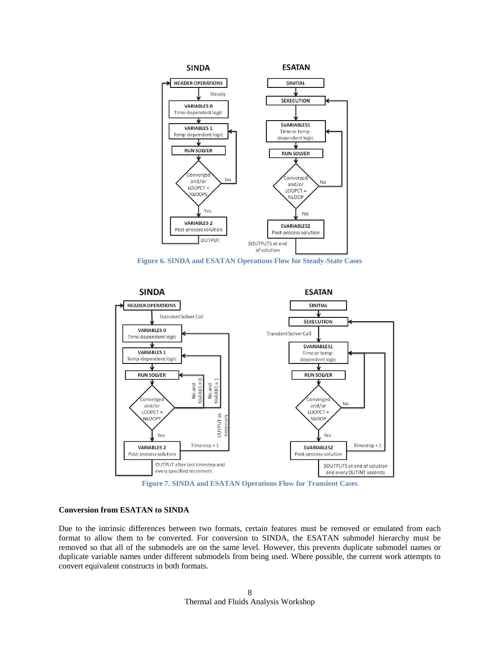

**Figure 6. SINDA and ESATAN Operations Flow for Steady-State Cases**

<span id="page-7-0"></span>

<span id="page-7-1"></span>**Conversion from ESATAN to SINDA**

# Due to the intrinsic differences between two formats, certain features must be removed or emulated from each format to allow them to be converted. For conversion to SINDA, the ESATAN submodel hierarchy must be removed so that all of the submodels are on the same level. However, this prevents duplicate submodel names or duplicate variable names under different submodels from being used. Where possible, the current work attempts to convert equivalent constructs in both formats.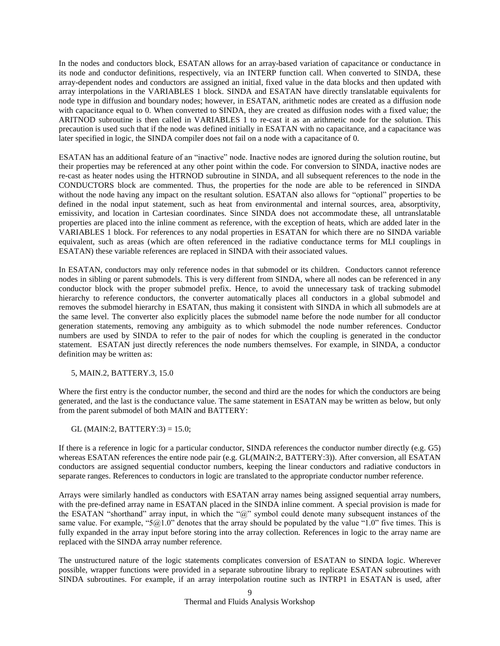In the nodes and conductors block, ESATAN allows for an array-based variation of capacitance or conductance in its node and conductor definitions, respectively, via an INTERP function call. When converted to SINDA, these array-dependent nodes and conductors are assigned an initial, fixed value in the data blocks and then updated with array interpolations in the VARIABLES 1 block. SINDA and ESATAN have directly translatable equivalents for node type in diffusion and boundary nodes; however, in ESATAN, arithmetic nodes are created as a diffusion node with capacitance equal to 0. When converted to SINDA, they are created as diffusion nodes with a fixed value; the ARITNOD subroutine is then called in VARIABLES 1 to re-cast it as an arithmetic node for the solution. This precaution is used such that if the node was defined initially in ESATAN with no capacitance, and a capacitance was later specified in logic, the SINDA compiler does not fail on a node with a capacitance of 0.

ESATAN has an additional feature of an "inactive" node. Inactive nodes are ignored during the solution routine, but their properties may be referenced at any other point within the code. For conversion to SINDA, inactive nodes are re-cast as heater nodes using the HTRNOD subroutine in SINDA, and all subsequent references to the node in the CONDUCTORS block are commented. Thus, the properties for the node are able to be referenced in SINDA without the node having any impact on the resultant solution. ESATAN also allows for "optional" properties to be defined in the nodal input statement, such as heat from environmental and internal sources, area, absorptivity, emissivity, and location in Cartesian coordinates. Since SINDA does not accommodate these, all untranslatable properties are placed into the inline comment as reference, with the exception of heats, which are added later in the VARIABLES 1 block. For references to any nodal properties in ESATAN for which there are no SINDA variable equivalent, such as areas (which are often referenced in the radiative conductance terms for MLI couplings in ESATAN) these variable references are replaced in SINDA with their associated values.

In ESATAN, conductors may only reference nodes in that submodel or its children. Conductors cannot reference nodes in sibling or parent submodels. This is very different from SINDA, where all nodes can be referenced in any conductor block with the proper submodel prefix. Hence, to avoid the unnecessary task of tracking submodel hierarchy to reference conductors, the converter automatically places all conductors in a global submodel and removes the submodel hierarchy in ESATAN, thus making it consistent with SINDA in which all submodels are at the same level. The converter also explicitly places the submodel name before the node number for all conductor generation statements, removing any ambiguity as to which submodel the node number references. Conductor numbers are used by SINDA to refer to the pair of nodes for which the coupling is generated in the conductor statement. ESATAN just directly references the node numbers themselves. For example, in SINDA, a conductor definition may be written as:

5, MAIN.2, BATTERY.3, 15.0

Where the first entry is the conductor number, the second and third are the nodes for which the conductors are being generated, and the last is the conductance value. The same statement in ESATAN may be written as below, but only from the parent submodel of both MAIN and BATTERY:

GL (MAIN:2, BATTERY:3) = 15.0;

If there is a reference in logic for a particular conductor, SINDA references the conductor number directly (e.g. G5) whereas ESATAN references the entire node pair (e.g. GL(MAIN:2, BATTERY:3)). After conversion, all ESATAN conductors are assigned sequential conductor numbers, keeping the linear conductors and radiative conductors in separate ranges. References to conductors in logic are translated to the appropriate conductor number reference.

Arrays were similarly handled as conductors with ESATAN array names being assigned sequential array numbers, with the pre-defined array name in ESATAN placed in the SINDA inline comment. A special provision is made for the ESATAN "shorthand" array input, in which the "@" symbol could denote many subsequent instances of the same value. For example, " $5@1.0"$  denotes that the array should be populated by the value "1.0" five times. This is fully expanded in the array input before storing into the array collection. References in logic to the array name are replaced with the SINDA array number reference.

The unstructured nature of the logic statements complicates conversion of ESATAN to SINDA logic. Wherever possible, wrapper functions were provided in a separate subroutine library to replicate ESATAN subroutines with SINDA subroutines. For example, if an array interpolation routine such as INTRP1 in ESATAN is used, after

> Thermal and Fluids Analysis Workshop 9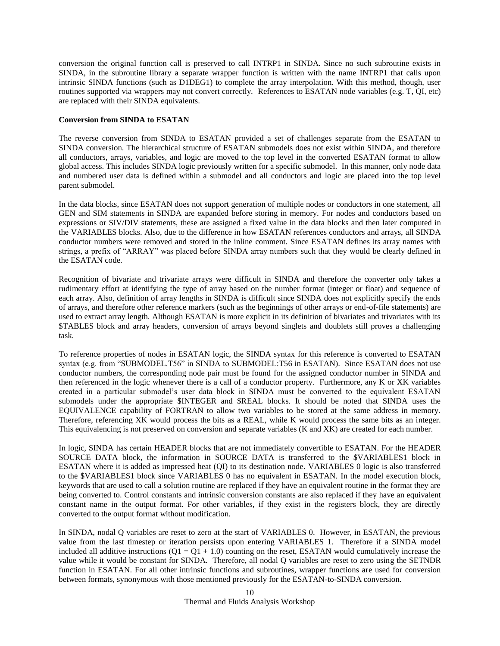conversion the original function call is preserved to call INTRP1 in SINDA. Since no such subroutine exists in SINDA, in the subroutine library a separate wrapper function is written with the name INTRP1 that calls upon intrinsic SINDA functions (such as D1DEG1) to complete the array interpolation. With this method, though, user routines supported via wrappers may not convert correctly. References to ESATAN node variables (e.g. T, QI, etc) are replaced with their SINDA equivalents.

# **Conversion from SINDA to ESATAN**

The reverse conversion from SINDA to ESATAN provided a set of challenges separate from the ESATAN to SINDA conversion. The hierarchical structure of ESATAN submodels does not exist within SINDA, and therefore all conductors, arrays, variables, and logic are moved to the top level in the converted ESATAN format to allow global access. This includes SINDA logic previously written for a specific submodel. In this manner, only node data and numbered user data is defined within a submodel and all conductors and logic are placed into the top level parent submodel.

In the data blocks, since ESATAN does not support generation of multiple nodes or conductors in one statement, all GEN and SIM statements in SINDA are expanded before storing in memory. For nodes and conductors based on expressions or SIV/DIV statements, these are assigned a fixed value in the data blocks and then later computed in the VARIABLES blocks. Also, due to the difference in how ESATAN references conductors and arrays, all SINDA conductor numbers were removed and stored in the inline comment. Since ESATAN defines its array names with strings, a prefix of "ARRAY" was placed before SINDA array numbers such that they would be clearly defined in the ESATAN code.

Recognition of bivariate and trivariate arrays were difficult in SINDA and therefore the converter only takes a rudimentary effort at identifying the type of array based on the number format (integer or float) and sequence of each array. Also, definition of array lengths in SINDA is difficult since SINDA does not explicitly specify the ends of arrays, and therefore other reference markers (such as the beginnings of other arrays or end-of-file statements) are used to extract array length. Although ESATAN is more explicit in its definition of bivariates and trivariates with its \$TABLES block and array headers, conversion of arrays beyond singlets and doublets still proves a challenging task.

To reference properties of nodes in ESATAN logic, the SINDA syntax for this reference is converted to ESATAN syntax (e.g. from "SUBMODEL.T56" in SINDA to SUBMODEL:T56 in ESATAN). Since ESATAN does not use conductor numbers, the corresponding node pair must be found for the assigned conductor number in SINDA and then referenced in the logic whenever there is a call of a conductor property. Furthermore, any K or XK variables created in a particular submodel's user data block in SINDA must be converted to the equivalent ESATAN submodels under the appropriate \$INTEGER and \$REAL blocks. It should be noted that SINDA uses the EQUIVALENCE capability of FORTRAN to allow two variables to be stored at the same address in memory. Therefore, referencing XK would process the bits as a REAL, while K would process the same bits as an integer. This equivalencing is not preserved on conversion and separate variables (K and XK) are created for each number.

In logic, SINDA has certain HEADER blocks that are not immediately convertible to ESATAN. For the HEADER SOURCE DATA block, the information in SOURCE DATA is transferred to the \$VARIABLES1 block in ESATAN where it is added as impressed heat (QI) to its destination node. VARIABLES 0 logic is also transferred to the \$VARIABLES1 block since VARIABLES 0 has no equivalent in ESATAN. In the model execution block, keywords that are used to call a solution routine are replaced if they have an equivalent routine in the format they are being converted to. Control constants and intrinsic conversion constants are also replaced if they have an equivalent constant name in the output format. For other variables, if they exist in the registers block, they are directly converted to the output format without modification.

In SINDA, nodal Q variables are reset to zero at the start of VARIABLES 0. However, in ESATAN, the previous value from the last timestep or iteration persists upon entering VARIABLES 1. Therefore if a SINDA model included all additive instructions  $(Q1 = Q1 + 1.0)$  counting on the reset, ESATAN would cumulatively increase the value while it would be constant for SINDA. Therefore, all nodal Q variables are reset to zero using the SETNDR function in ESATAN. For all other intrinsic functions and subroutines, wrapper functions are used for conversion between formats, synonymous with those mentioned previously for the ESATAN-to-SINDA conversion.